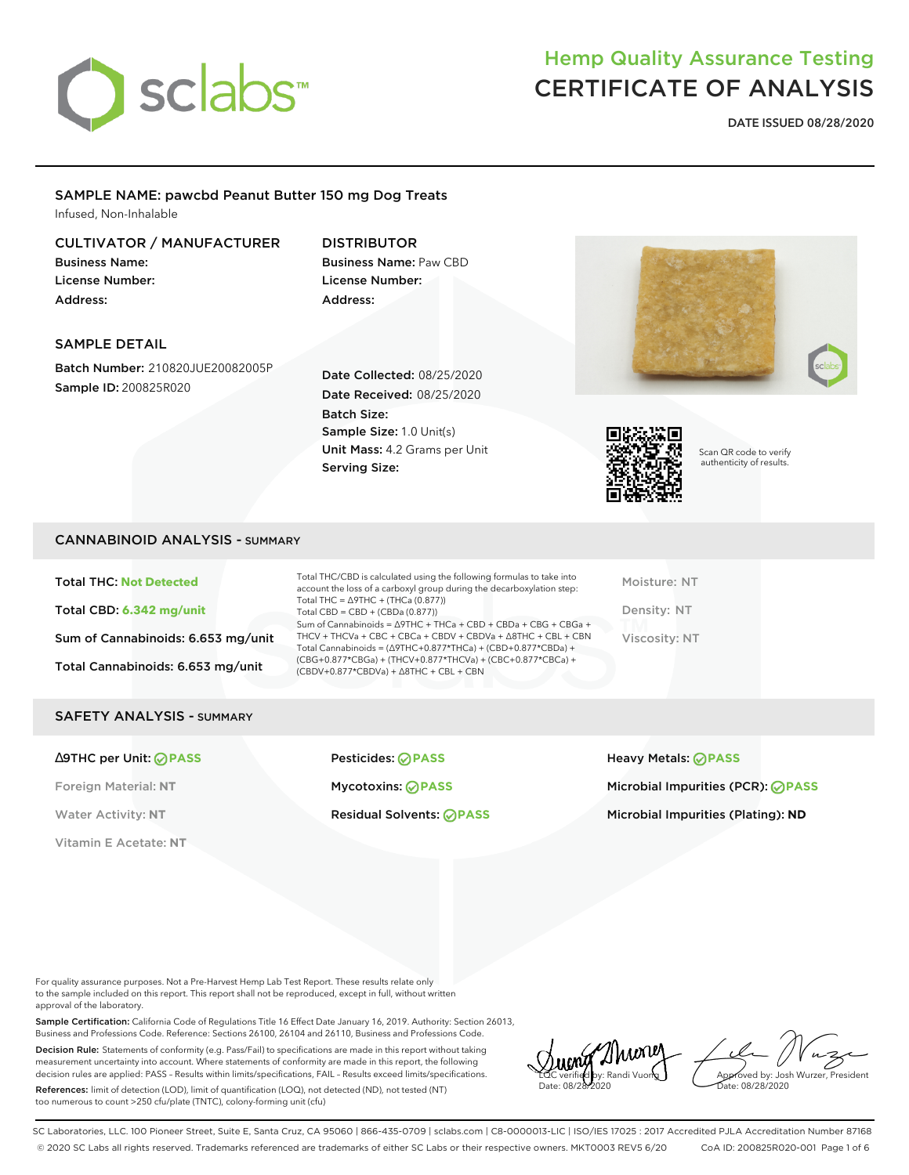

**DATE ISSUED 08/28/2020**

### SAMPLE NAME: pawcbd Peanut Butter 150 mg Dog Treats Infused, Non-Inhalable

### CULTIVATOR / MANUFACTURER

Business Name: License Number: Address:

## DISTRIBUTOR

Business Name: Paw CBD License Number: Address:

### SAMPLE DETAIL

Batch Number: 210820JUE20082005P Sample ID: 200825R020

Date Collected: 08/25/2020 Date Received: 08/25/2020 Batch Size: Sample Size: 1.0 Unit(s) Unit Mass: 4.2 Grams per Unit Serving Size:





Scan QR code to verify authenticity of results.

### CANNABINOID ANALYSIS - SUMMARY

Total THC: **Not Detected** Total CBD: **6.342 mg/unit** Sum of Cannabinoids: 6.653 mg/unit Total Cannabinoids: 6.653 mg/unit

Total THC/CBD is calculated using the following formulas to take into account the loss of a carboxyl group during the decarboxylation step: Total THC = ∆9THC + (THCa (0.877)) Total CBD = CBD + (CBDa (0.877)) Sum of Cannabinoids = ∆9THC + THCa + CBD + CBDa + CBG + CBGa + THCV + THCVa + CBC + CBCa + CBDV + CBDVa + ∆8THC + CBL + CBN Total Cannabinoids = (∆9THC+0.877\*THCa) + (CBD+0.877\*CBDa) + (CBG+0.877\*CBGa) + (THCV+0.877\*THCVa) + (CBC+0.877\*CBCa) + (CBDV+0.877\*CBDVa) + ∆8THC + CBL + CBN

Moisture: NT Density: NT Viscosity: NT

#### SAFETY ANALYSIS - SUMMARY

Vitamin E Acetate: **NT**

∆9THC per Unit: **PASS** Pesticides: **PASS** Heavy Metals: **PASS**

Foreign Material: **NT** Mycotoxins: **PASS** Microbial Impurities (PCR): **PASS**

Water Activity: NT **Residual Solvents: <b>PASS** Microbial Impurities (Plating): ND

For quality assurance purposes. Not a Pre-Harvest Hemp Lab Test Report. These results relate only to the sample included on this report. This report shall not be reproduced, except in full, without written approval of the laboratory.

Sample Certification: California Code of Regulations Title 16 Effect Date January 16, 2019. Authority: Section 26013, Business and Professions Code. Reference: Sections 26100, 26104 and 26110, Business and Professions Code.

Decision Rule: Statements of conformity (e.g. Pass/Fail) to specifications are made in this report without taking measurement uncertainty into account. Where statements of conformity are made in this report, the following decision rules are applied: PASS – Results within limits/specifications, FAIL – Results exceed limits/specifications.

References: limit of detection (LOD), limit of quantification (LOQ), not detected (ND), not tested (NT) too numerous to count >250 cfu/plate (TNTC), colony-forming unit (cfu)

2Nuonej LQC verified by: Randi Vuong Date: 08/28/2020

Approved by: Josh Wurzer, President ate: 08/28/2020

SC Laboratories, LLC. 100 Pioneer Street, Suite E, Santa Cruz, CA 95060 | 866-435-0709 | sclabs.com | C8-0000013-LIC | ISO/IES 17025 : 2017 Accredited PJLA Accreditation Number 87168 © 2020 SC Labs all rights reserved. Trademarks referenced are trademarks of either SC Labs or their respective owners. MKT0003 REV5 6/20 CoA ID: 200825R020-001 Page 1 of 6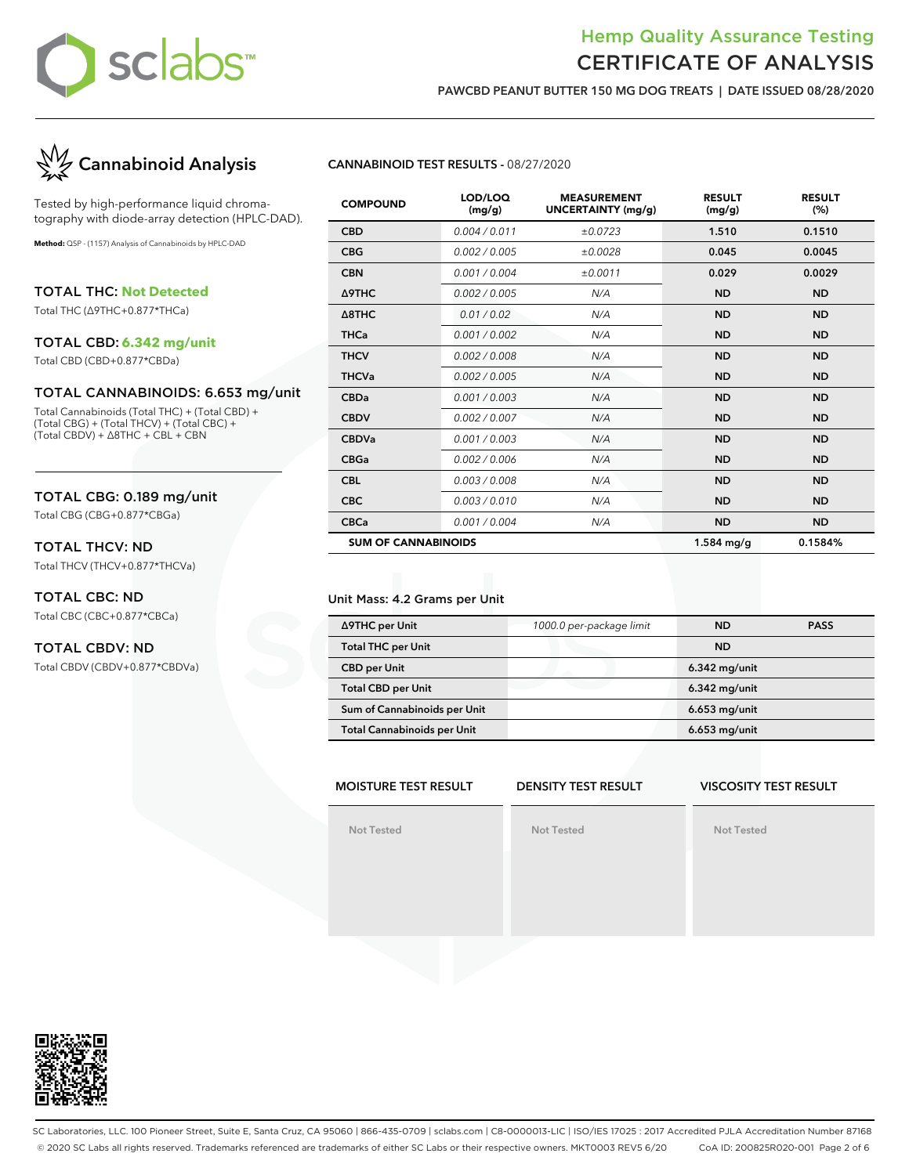

**PAWCBD PEANUT BUTTER 150 MG DOG TREATS | DATE ISSUED 08/28/2020**



Tested by high-performance liquid chromatography with diode-array detection (HPLC-DAD).

**Method:** QSP - (1157) Analysis of Cannabinoids by HPLC-DAD

TOTAL THC: **Not Detected** Total THC (∆9THC+0.877\*THCa)

### TOTAL CBD: **6.342 mg/unit**

Total CBD (CBD+0.877\*CBDa)

#### TOTAL CANNABINOIDS: 6.653 mg/unit

Total Cannabinoids (Total THC) + (Total CBD) + (Total CBG) + (Total THCV) + (Total CBC) + (Total CBDV) + ∆8THC + CBL + CBN

### TOTAL CBG: 0.189 mg/unit

Total CBG (CBG+0.877\*CBGa)

### TOTAL THCV: ND

Total THCV (THCV+0.877\*THCVa)

### TOTAL CBC: ND

Total CBC (CBC+0.877\*CBCa)

### TOTAL CBDV: ND

Total CBDV (CBDV+0.877\*CBDVa)

### **CANNABINOID TEST RESULTS -** 08/27/2020

| <b>COMPOUND</b>            | LOD/LOQ<br>(mg/g) | <b>MEASUREMENT</b><br>UNCERTAINTY (mg/g) | <b>RESULT</b><br>(mg/g) | <b>RESULT</b><br>(%) |
|----------------------------|-------------------|------------------------------------------|-------------------------|----------------------|
| <b>CBD</b>                 | 0.004 / 0.011     | ±0.0723                                  | 1.510                   | 0.1510               |
| <b>CBG</b>                 | 0.002 / 0.005     | ±0.0028                                  | 0.045                   | 0.0045               |
| <b>CBN</b>                 | 0.001/0.004       | ±0.0011                                  | 0.029                   | 0.0029               |
| Δ9THC                      | 0.002 / 0.005     | N/A                                      | <b>ND</b>               | <b>ND</b>            |
| $\triangle$ 8THC           | 0.01 / 0.02       | N/A                                      | <b>ND</b>               | <b>ND</b>            |
| <b>THCa</b>                | 0.001 / 0.002     | N/A                                      | <b>ND</b>               | <b>ND</b>            |
| <b>THCV</b>                | 0.002 / 0.008     | N/A                                      | <b>ND</b>               | <b>ND</b>            |
| <b>THCVa</b>               | 0.002 / 0.005     | N/A                                      | <b>ND</b>               | <b>ND</b>            |
| <b>CBDa</b>                | 0.001 / 0.003     | N/A                                      | <b>ND</b>               | <b>ND</b>            |
| <b>CBDV</b>                | 0.002 / 0.007     | N/A                                      | <b>ND</b>               | <b>ND</b>            |
| <b>CBDVa</b>               | 0.001 / 0.003     | N/A                                      | <b>ND</b>               | <b>ND</b>            |
| <b>CBGa</b>                | 0.002 / 0.006     | N/A                                      | <b>ND</b>               | <b>ND</b>            |
| <b>CBL</b>                 | 0.003 / 0.008     | N/A                                      | <b>ND</b>               | <b>ND</b>            |
| <b>CBC</b>                 | 0.003/0.010       | N/A                                      | <b>ND</b>               | <b>ND</b>            |
| <b>CBCa</b>                | 0.001 / 0.004     | N/A                                      | <b>ND</b>               | <b>ND</b>            |
| <b>SUM OF CANNABINOIDS</b> |                   |                                          | $1.584$ mg/g            | 0.1584%              |

#### Unit Mass: 4.2 Grams per Unit

| ∆9THC per Unit                     | 1000.0 per-package limit | <b>ND</b>       | <b>PASS</b> |
|------------------------------------|--------------------------|-----------------|-------------|
| <b>Total THC per Unit</b>          |                          | <b>ND</b>       |             |
| <b>CBD per Unit</b>                |                          | $6.342$ mg/unit |             |
| <b>Total CBD per Unit</b>          |                          | $6.342$ mg/unit |             |
| Sum of Cannabinoids per Unit       |                          | $6.653$ mg/unit |             |
| <b>Total Cannabinoids per Unit</b> |                          | $6.653$ mg/unit |             |

### **MOISTURE TEST RESULT**

### **DENSITY TEST RESULT**

### **VISCOSITY TEST RESULT**

**Not Tested**

**Not Tested**

**Not Tested**



SC Laboratories, LLC. 100 Pioneer Street, Suite E, Santa Cruz, CA 95060 | 866-435-0709 | sclabs.com | C8-0000013-LIC | ISO/IES 17025 : 2017 Accredited PJLA Accreditation Number 87168 © 2020 SC Labs all rights reserved. Trademarks referenced are trademarks of either SC Labs or their respective owners. MKT0003 REV5 6/20 CoA ID: 200825R020-001 Page 2 of 6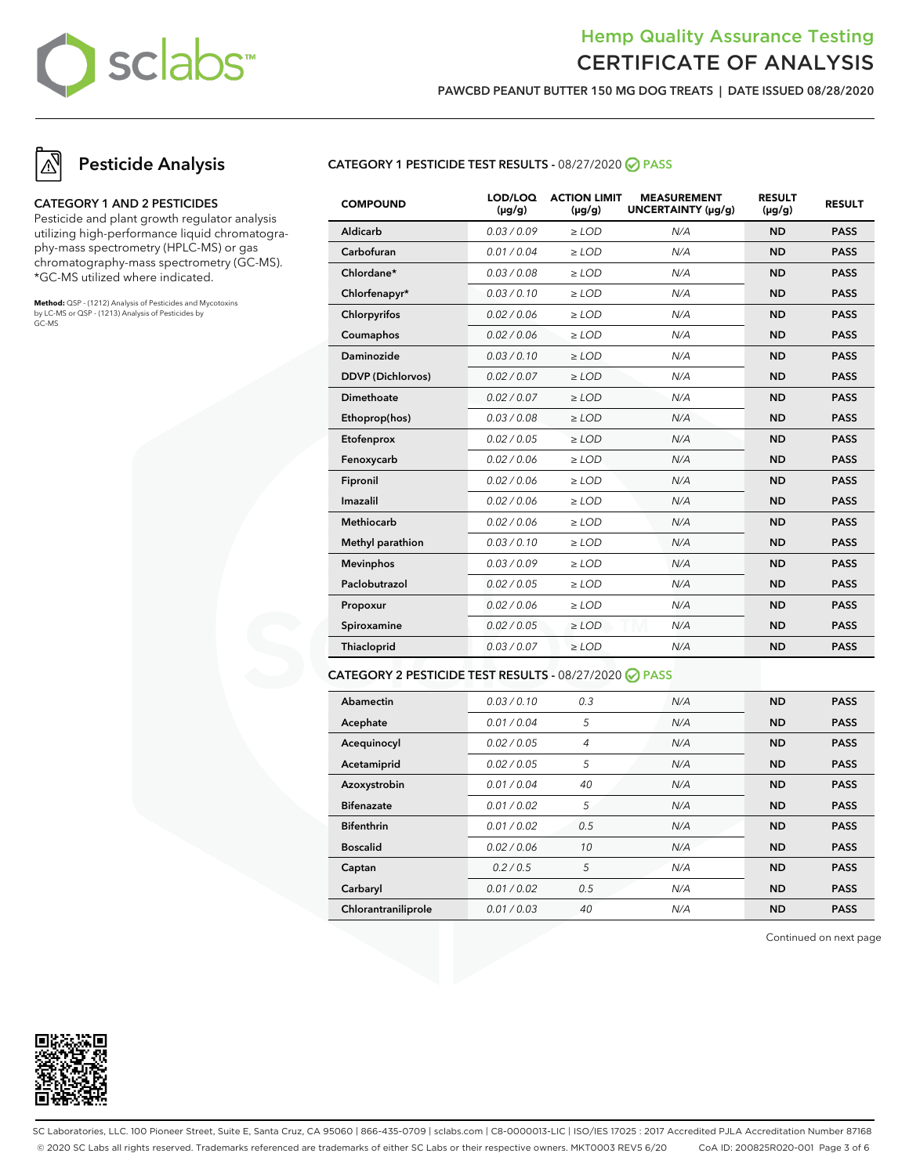

**PAWCBD PEANUT BUTTER 150 MG DOG TREATS | DATE ISSUED 08/28/2020**

### **Pesticide Analysis**

#### **CATEGORY 1 AND 2 PESTICIDES**

Pesticide and plant growth regulator analysis utilizing high-performance liquid chromatography-mass spectrometry (HPLC-MS) or gas chromatography-mass spectrometry (GC-MS). \*GC-MS utilized where indicated.

**Method:** QSP - (1212) Analysis of Pesticides and Mycotoxins by LC-MS or QSP - (1213) Analysis of Pesticides by GC-MS

### **CATEGORY 1 PESTICIDE TEST RESULTS -** 08/27/2020 **PASS**

| <b>COMPOUND</b>          | LOD/LOQ<br>$(\mu g/g)$ | <b>ACTION LIMIT</b><br>$(\mu q/q)$ | <b>MEASUREMENT</b><br>UNCERTAINTY (µg/g) | <b>RESULT</b><br>$(\mu g/g)$ | <b>RESULT</b> |
|--------------------------|------------------------|------------------------------------|------------------------------------------|------------------------------|---------------|
| Aldicarb                 | 0.03/0.09              | $\ge$ LOD                          | N/A                                      | <b>ND</b>                    | <b>PASS</b>   |
| Carbofuran               | 0.01 / 0.04            | $\ge$ LOD                          | N/A                                      | <b>ND</b>                    | <b>PASS</b>   |
| Chlordane*               | 0.03 / 0.08            | $>$ LOD                            | N/A                                      | <b>ND</b>                    | <b>PASS</b>   |
| Chlorfenapyr*            | 0.03 / 0.10            | $>$ LOD                            | N/A                                      | <b>ND</b>                    | <b>PASS</b>   |
| Chlorpyrifos             | 0.02 / 0.06            | $\ge$ LOD                          | N/A                                      | <b>ND</b>                    | <b>PASS</b>   |
| Coumaphos                | 0.02 / 0.06            | $\ge$ LOD                          | N/A                                      | <b>ND</b>                    | <b>PASS</b>   |
| Daminozide               | 0.03/0.10              | $\ge$ LOD                          | N/A                                      | <b>ND</b>                    | <b>PASS</b>   |
| <b>DDVP</b> (Dichlorvos) | 0.02 / 0.07            | $\ge$ LOD                          | N/A                                      | <b>ND</b>                    | <b>PASS</b>   |
| <b>Dimethoate</b>        | 0.02 / 0.07            | $\ge$ LOD                          | N/A                                      | <b>ND</b>                    | <b>PASS</b>   |
| Ethoprop(hos)            | 0.03/0.08              | $>$ LOD                            | N/A                                      | <b>ND</b>                    | <b>PASS</b>   |
| Etofenprox               | 0.02 / 0.05            | $\ge$ LOD                          | N/A                                      | <b>ND</b>                    | <b>PASS</b>   |
| Fenoxycarb               | 0.02 / 0.06            | $\ge$ LOD                          | N/A                                      | <b>ND</b>                    | <b>PASS</b>   |
| Fipronil                 | 0.02 / 0.06            | $\ge$ LOD                          | N/A                                      | <b>ND</b>                    | <b>PASS</b>   |
| Imazalil                 | 0.02 / 0.06            | $\ge$ LOD                          | N/A                                      | <b>ND</b>                    | <b>PASS</b>   |
| <b>Methiocarb</b>        | 0.02 / 0.06            | $>$ LOD                            | N/A                                      | <b>ND</b>                    | <b>PASS</b>   |
| Methyl parathion         | 0.03/0.10              | $\ge$ LOD                          | N/A                                      | <b>ND</b>                    | <b>PASS</b>   |
| <b>Mevinphos</b>         | 0.03/0.09              | $\ge$ LOD                          | N/A                                      | <b>ND</b>                    | <b>PASS</b>   |
| Paclobutrazol            | 0.02 / 0.05            | $\ge$ LOD                          | N/A                                      | <b>ND</b>                    | <b>PASS</b>   |
| Propoxur                 | 0.02 / 0.06            | $\geq$ LOD                         | N/A                                      | <b>ND</b>                    | <b>PASS</b>   |
| Spiroxamine              | 0.02 / 0.05            | $\ge$ LOD                          | N/A                                      | <b>ND</b>                    | <b>PASS</b>   |
| Thiacloprid              | 0.03 / 0.07            | $\ge$ LOD                          | N/A                                      | <b>ND</b>                    | <b>PASS</b>   |

#### **CATEGORY 2 PESTICIDE TEST RESULTS -** 08/27/2020 **PASS**

| Abamectin           | 0.03/0.10   | 0.3            | N/A | <b>ND</b> | <b>PASS</b> |
|---------------------|-------------|----------------|-----|-----------|-------------|
| Acephate            | 0.01 / 0.04 | 5              | N/A | <b>ND</b> | <b>PASS</b> |
| Acequinocyl         | 0.02 / 0.05 | $\overline{4}$ | N/A | <b>ND</b> | <b>PASS</b> |
| Acetamiprid         | 0.02/0.05   | 5              | N/A | <b>ND</b> | <b>PASS</b> |
| Azoxystrobin        | 0.01/0.04   | 40             | N/A | <b>ND</b> | <b>PASS</b> |
| <b>Bifenazate</b>   | 0.01 / 0.02 | 5              | N/A | <b>ND</b> | <b>PASS</b> |
| <b>Bifenthrin</b>   | 0.01/0.02   | 0.5            | N/A | <b>ND</b> | <b>PASS</b> |
| <b>Boscalid</b>     | 0.02 / 0.06 | 10             | N/A | <b>ND</b> | <b>PASS</b> |
| Captan              | 0.2/0.5     | 5              | N/A | <b>ND</b> | <b>PASS</b> |
| Carbaryl            | 0.01 / 0.02 | 0.5            | N/A | <b>ND</b> | <b>PASS</b> |
| Chlorantraniliprole | 0.01 / 0.03 | 40             | N/A | <b>ND</b> | <b>PASS</b> |

Continued on next page



SC Laboratories, LLC. 100 Pioneer Street, Suite E, Santa Cruz, CA 95060 | 866-435-0709 | sclabs.com | C8-0000013-LIC | ISO/IES 17025 : 2017 Accredited PJLA Accreditation Number 87168 © 2020 SC Labs all rights reserved. Trademarks referenced are trademarks of either SC Labs or their respective owners. MKT0003 REV5 6/20 CoA ID: 200825R020-001 Page 3 of 6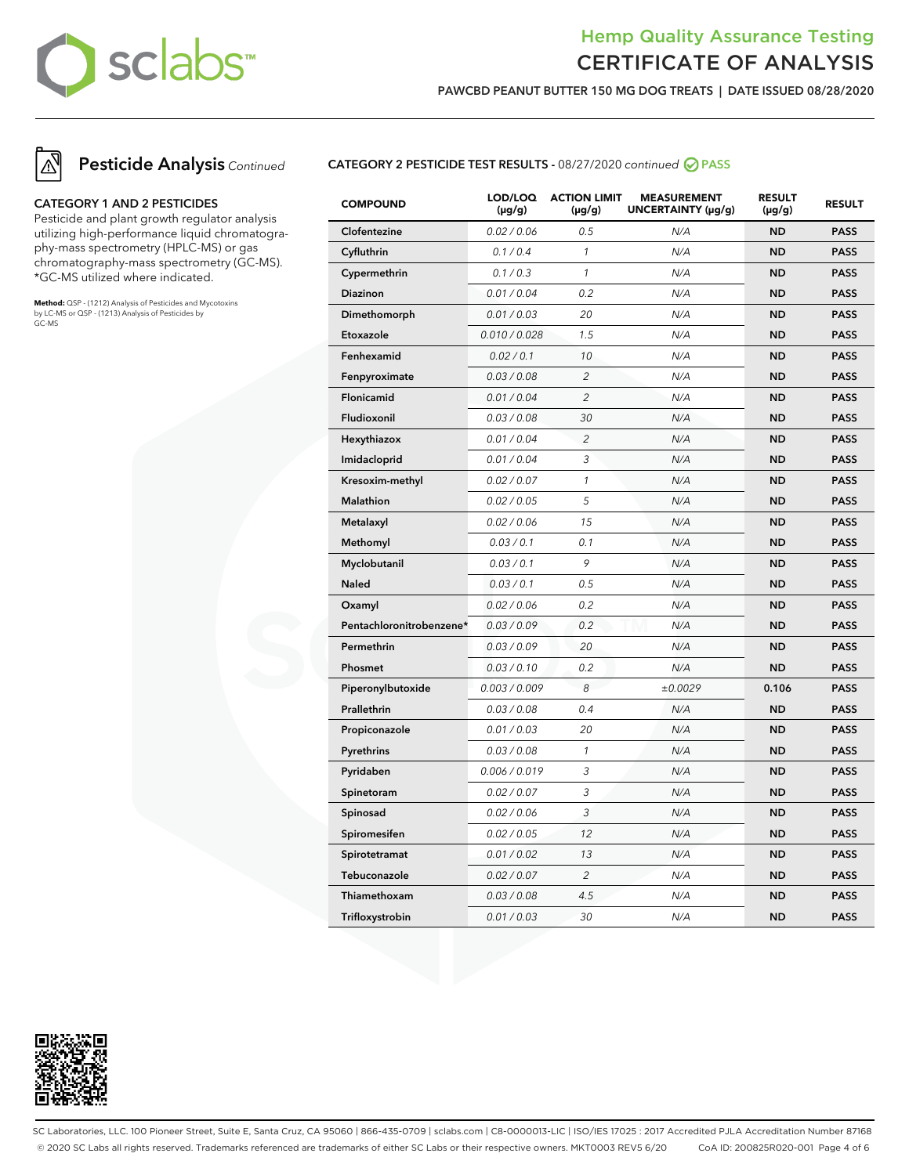

**PAWCBD PEANUT BUTTER 150 MG DOG TREATS | DATE ISSUED 08/28/2020**



#### **CATEGORY 1 AND 2 PESTICIDES**

Pesticide and plant growth regulator analysis utilizing high-performance liquid chromatography-mass spectrometry (HPLC-MS) or gas chromatography-mass spectrometry (GC-MS). \*GC-MS utilized where indicated.

**Method:** QSP - (1212) Analysis of Pesticides and Mycotoxins by LC-MS or QSP - (1213) Analysis of Pesticides by GC-MS

### **CATEGORY 2 PESTICIDE TEST RESULTS -** 08/27/2020 continued **PASS**

| <b>COMPOUND</b>          | LOD/LOQ<br>$(\mu g/g)$ | <b>ACTION LIMIT</b><br>$(\mu g/g)$ | <b>MEASUREMENT</b><br>UNCERTAINTY (µg/g) | <b>RESULT</b><br>$(\mu g/g)$ | <b>RESULT</b> |
|--------------------------|------------------------|------------------------------------|------------------------------------------|------------------------------|---------------|
| Clofentezine             | 0.02 / 0.06            | 0.5                                | N/A                                      | <b>ND</b>                    | <b>PASS</b>   |
| Cyfluthrin               | 0.1 / 0.4              | $\mathcal{I}$                      | N/A                                      | <b>ND</b>                    | <b>PASS</b>   |
| Cypermethrin             | 0.1 / 0.3              | $\mathcal{I}$                      | N/A                                      | <b>ND</b>                    | <b>PASS</b>   |
| Diazinon                 | 0.01 / 0.04            | 0.2                                | N/A                                      | <b>ND</b>                    | <b>PASS</b>   |
| Dimethomorph             | 0.01 / 0.03            | 20                                 | N/A                                      | <b>ND</b>                    | <b>PASS</b>   |
| Etoxazole                | 0.010 / 0.028          | 1.5                                | N/A                                      | <b>ND</b>                    | <b>PASS</b>   |
| Fenhexamid               | 0.02 / 0.1             | 10                                 | N/A                                      | <b>ND</b>                    | <b>PASS</b>   |
| Fenpyroximate            | 0.03 / 0.08            | $\overline{c}$                     | N/A                                      | <b>ND</b>                    | <b>PASS</b>   |
| Flonicamid               | 0.01 / 0.04            | $\overline{2}$                     | N/A                                      | ND                           | <b>PASS</b>   |
| Fludioxonil              | 0.03 / 0.08            | 30                                 | N/A                                      | <b>ND</b>                    | <b>PASS</b>   |
| Hexythiazox              | 0.01 / 0.04            | 2                                  | N/A                                      | <b>ND</b>                    | <b>PASS</b>   |
| Imidacloprid             | 0.01 / 0.04            | 3                                  | N/A                                      | <b>ND</b>                    | <b>PASS</b>   |
| Kresoxim-methyl          | 0.02 / 0.07            | $\mathcal{I}$                      | N/A                                      | ND                           | <b>PASS</b>   |
| Malathion                | 0.02 / 0.05            | 5                                  | N/A                                      | <b>ND</b>                    | <b>PASS</b>   |
| Metalaxyl                | 0.02 / 0.06            | 15                                 | N/A                                      | <b>ND</b>                    | <b>PASS</b>   |
| Methomyl                 | 0.03 / 0.1             | 0.1                                | N/A                                      | <b>ND</b>                    | <b>PASS</b>   |
| Myclobutanil             | 0.03 / 0.1             | 9                                  | N/A                                      | <b>ND</b>                    | <b>PASS</b>   |
| <b>Naled</b>             | 0.03 / 0.1             | 0.5                                | N/A                                      | ND                           | <b>PASS</b>   |
| Oxamyl                   | 0.02 / 0.06            | 0.2                                | N/A                                      | <b>ND</b>                    | <b>PASS</b>   |
| Pentachloronitrobenzene* | 0.03 / 0.09            | 0.2                                | N/A                                      | <b>ND</b>                    | <b>PASS</b>   |
| Permethrin               | 0.03 / 0.09            | 20                                 | N/A                                      | <b>ND</b>                    | <b>PASS</b>   |
| Phosmet                  | 0.03 / 0.10            | 0.2                                | N/A                                      | <b>ND</b>                    | <b>PASS</b>   |
| Piperonylbutoxide        | 0.003 / 0.009          | 8                                  | ±0.0029                                  | 0.106                        | <b>PASS</b>   |
| Prallethrin              | 0.03 / 0.08            | 0.4                                | N/A                                      | <b>ND</b>                    | <b>PASS</b>   |
| Propiconazole            | 0.01 / 0.03            | 20                                 | N/A                                      | <b>ND</b>                    | <b>PASS</b>   |
| Pyrethrins               | 0.03 / 0.08            | $\mathcal{I}$                      | N/A                                      | ND                           | <b>PASS</b>   |
| Pyridaben                | 0.006 / 0.019          | 3                                  | N/A                                      | <b>ND</b>                    | <b>PASS</b>   |
| Spinetoram               | 0.02 / 0.07            | 3                                  | N/A                                      | <b>ND</b>                    | <b>PASS</b>   |
| Spinosad                 | 0.02 / 0.06            | 3                                  | N/A                                      | <b>ND</b>                    | <b>PASS</b>   |
| Spiromesifen             | 0.02 / 0.05            | 12                                 | N/A                                      | ND                           | <b>PASS</b>   |
| Spirotetramat            | 0.01 / 0.02            | 13                                 | N/A                                      | ND                           | <b>PASS</b>   |
| Tebuconazole             | 0.02 / 0.07            | $\overline{c}$                     | N/A                                      | <b>ND</b>                    | <b>PASS</b>   |
| Thiamethoxam             | 0.03 / 0.08            | 4.5                                | N/A                                      | <b>ND</b>                    | <b>PASS</b>   |
| Trifloxystrobin          | 0.01 / 0.03            | 30                                 | N/A                                      | ND                           | <b>PASS</b>   |



SC Laboratories, LLC. 100 Pioneer Street, Suite E, Santa Cruz, CA 95060 | 866-435-0709 | sclabs.com | C8-0000013-LIC | ISO/IES 17025 : 2017 Accredited PJLA Accreditation Number 87168 © 2020 SC Labs all rights reserved. Trademarks referenced are trademarks of either SC Labs or their respective owners. MKT0003 REV5 6/20 CoA ID: 200825R020-001 Page 4 of 6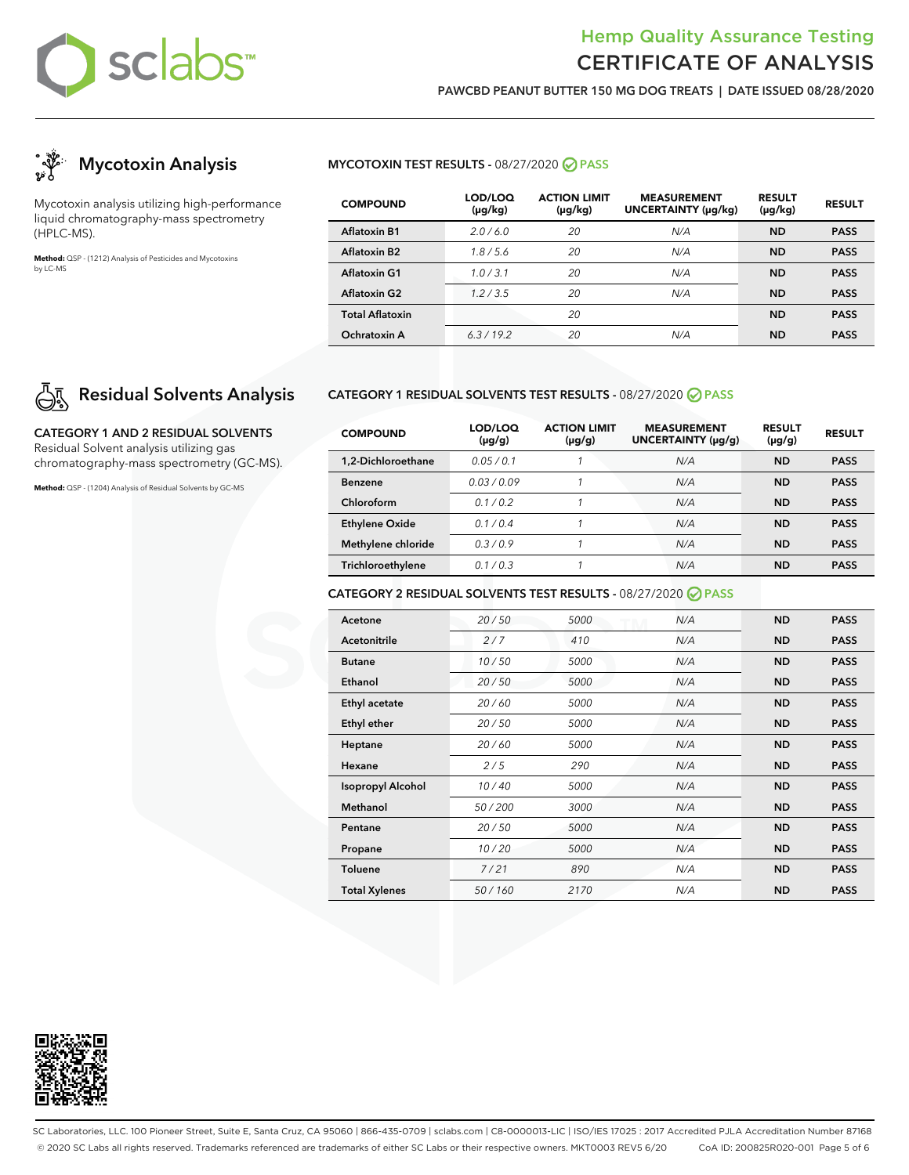

**PAWCBD PEANUT BUTTER 150 MG DOG TREATS | DATE ISSUED 08/28/2020**



Mycotoxin analysis utilizing high-performance liquid chromatography-mass spectrometry (HPLC-MS).

**Method:** QSP - (1212) Analysis of Pesticides and Mycotoxins by LC-MS

# **Residual Solvents Analysis**

**CATEGORY 1 AND 2 RESIDUAL SOLVENTS** Residual Solvent analysis utilizing gas chromatography-mass spectrometry (GC-MS).

**Method:** QSP - (1204) Analysis of Residual Solvents by GC-MS

### **MYCOTOXIN TEST RESULTS -** 08/27/2020 **PASS**

| <b>COMPOUND</b>        | LOD/LOQ<br>$(\mu g/kg)$ | <b>ACTION LIMIT</b><br>$(\mu g/kg)$ | <b>MEASUREMENT</b><br><b>UNCERTAINTY (µg/kg)</b> | <b>RESULT</b><br>$(\mu g/kg)$ | <b>RESULT</b> |
|------------------------|-------------------------|-------------------------------------|--------------------------------------------------|-------------------------------|---------------|
| <b>Aflatoxin B1</b>    | 2.0/6.0                 | 20                                  | N/A                                              | <b>ND</b>                     | <b>PASS</b>   |
| Aflatoxin B2           | 1.8/5.6                 | 20                                  | N/A                                              | <b>ND</b>                     | <b>PASS</b>   |
| Aflatoxin G1           | 1.0/3.1                 | 20                                  | N/A                                              | <b>ND</b>                     | <b>PASS</b>   |
| <b>Aflatoxin G2</b>    | 1.2/3.5                 | 20                                  | N/A                                              | <b>ND</b>                     | <b>PASS</b>   |
| <b>Total Aflatoxin</b> |                         | 20                                  |                                                  | <b>ND</b>                     | <b>PASS</b>   |
| Ochratoxin A           | 6.3/19.2                | 20                                  | N/A                                              | <b>ND</b>                     | <b>PASS</b>   |

### **CATEGORY 1 RESIDUAL SOLVENTS TEST RESULTS -** 08/27/2020 **PASS**

| <b>COMPOUND</b>       | LOD/LOQ<br>$(\mu g/g)$ | <b>ACTION LIMIT</b><br>$(\mu g/g)$ | <b>MEASUREMENT</b><br>UNCERTAINTY (µq/q) | <b>RESULT</b><br>$(\mu g/g)$ | <b>RESULT</b> |
|-----------------------|------------------------|------------------------------------|------------------------------------------|------------------------------|---------------|
| 1.2-Dichloroethane    | 0.05/0.1               |                                    | N/A                                      | <b>ND</b>                    | <b>PASS</b>   |
| Benzene               | 0.03/0.09              |                                    | N/A                                      | <b>ND</b>                    | <b>PASS</b>   |
| Chloroform            | 01/02                  |                                    | N/A                                      | <b>ND</b>                    | <b>PASS</b>   |
| <b>Ethylene Oxide</b> | 0.1/0.4                |                                    | N/A                                      | <b>ND</b>                    | <b>PASS</b>   |
| Methylene chloride    | 0.3/0.9                |                                    | N/A                                      | <b>ND</b>                    | <b>PASS</b>   |
| Trichloroethylene     | 0.1/0.3                |                                    | N/A                                      | <b>ND</b>                    | <b>PASS</b>   |

### **CATEGORY 2 RESIDUAL SOLVENTS TEST RESULTS -** 08/27/2020 **PASS**

| Acetone                  | 20/50  | 5000 | N/A | <b>ND</b> | <b>PASS</b> |
|--------------------------|--------|------|-----|-----------|-------------|
| <b>Acetonitrile</b>      | 2/7    | 410  | N/A | <b>ND</b> | <b>PASS</b> |
| <b>Butane</b>            | 10/50  | 5000 | N/A | <b>ND</b> | <b>PASS</b> |
| Ethanol                  | 20/50  | 5000 | N/A | <b>ND</b> | <b>PASS</b> |
| Ethyl acetate            | 20/60  | 5000 | N/A | <b>ND</b> | <b>PASS</b> |
| Ethyl ether              | 20/50  | 5000 | N/A | <b>ND</b> | <b>PASS</b> |
| Heptane                  | 20/60  | 5000 | N/A | <b>ND</b> | <b>PASS</b> |
| Hexane                   | 2/5    | 290  | N/A | <b>ND</b> | <b>PASS</b> |
| <b>Isopropyl Alcohol</b> | 10/40  | 5000 | N/A | <b>ND</b> | <b>PASS</b> |
| Methanol                 | 50/200 | 3000 | N/A | <b>ND</b> | <b>PASS</b> |
| Pentane                  | 20/50  | 5000 | N/A | <b>ND</b> | <b>PASS</b> |
| Propane                  | 10/20  | 5000 | N/A | <b>ND</b> | <b>PASS</b> |
| <b>Toluene</b>           | 7/21   | 890  | N/A | <b>ND</b> | <b>PASS</b> |
| <b>Total Xylenes</b>     | 50/160 | 2170 | N/A | <b>ND</b> | <b>PASS</b> |



SC Laboratories, LLC. 100 Pioneer Street, Suite E, Santa Cruz, CA 95060 | 866-435-0709 | sclabs.com | C8-0000013-LIC | ISO/IES 17025 : 2017 Accredited PJLA Accreditation Number 87168 © 2020 SC Labs all rights reserved. Trademarks referenced are trademarks of either SC Labs or their respective owners. MKT0003 REV5 6/20 CoA ID: 200825R020-001 Page 5 of 6